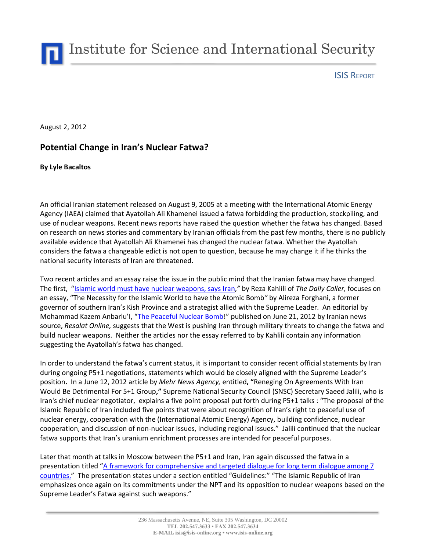Institute for Science and International Security

ISIS REPORT

August 2, 2012

## **Potential Change in Iran's Nuclear Fatwa?**

## **By Lyle Bacaltos**

An official Iranian statement released on August 9, 2005 at a meeting with the International Atomic Energy Agency (IAEA) claimed that Ayatollah Ali Khamenei issued a fatwa forbidding the production, stockpiling, and use of nuclear weapons. Recent news reports have raised the question whether the fatwa has changed. Based on research on news stories and commentary by Iranian officials from the past few months, there is no publicly available evidence that Ayatollah Ali Khamenei has changed the nuclear fatwa. Whether the Ayatollah considers the fatwa a changeable edict is not open to question, because he may change it if he thinks the national security interests of Iran are threatened.

Two recent articles and an essay raise the issue in the public mind that the Iranian fatwa may have changed. The first, "[Islamic world must have nuclear weapons, says Iran,](http://dailycaller.com/2012/06/10/islamic-world-must-have-nuclear-weapons-says-iran/)*"* by Reza Kahlili of *The Daily Caller,* focuses on an essay, "[The](http://alireza-forghani.blogfa.com/post-99.aspx) [Necessity](http://alireza-forghani.blogfa.com/post-99.aspx) [for](http://alireza-forghani.blogfa.com/post-99.aspx) [the](http://alireza-forghani.blogfa.com/post-99.aspx) [Islamic](http://alireza-forghani.blogfa.com/post-99.aspx) [World](http://alireza-forghani.blogfa.com/post-99.aspx) [to](http://alireza-forghani.blogfa.com/post-99.aspx) [have](http://alireza-forghani.blogfa.com/post-99.aspx) [the](http://alireza-forghani.blogfa.com/post-99.aspx) Atomic Bomb*"* by Alireza Forghani, a former governor of southern Iran's Kish Province and a strategist allied with the Supreme Leader. An editorial by Mohammad Kazem Anbarlu'I, "[The Peaceful Nuclear Bomb](http://www.biyokulule.com/view_content.php?articleid=4873)!" published on June 21, 2012 by Iranian news source, *Resalat Online,* suggests that the West is pushing Iran through military threats to change the fatwa and build nuclear weapons. Neither the articles nor the essay referred to by Kahlili contain any information suggesting the Ayatollah's fatwa has changed.

In order to understand the fatwa's current status, it is important to consider recent official statements by Iran during ongoing P5+1 negotiations, statements which would be closely aligned with the Supreme Leader's position**.** In a June 12, 2012 article by *[Mehr](https://www.opensource.gov/wiki/display/nmp/Mehr+News+Agency) [News](https://www.opensource.gov/wiki/display/nmp/Mehr+News+Agency) [Agency,](https://www.opensource.gov/wiki/display/nmp/Mehr+News+Agency)* entitled**, "**Reneging On Agreements With Iran Would Be Detrimental For 5+1 Group**,"** Supreme National Security Council (SNSC) Secretary Saeed Jalili, who is Iran's chief nuclear negotiator, explains a five point proposal put forth during P5+1 talks : "The proposal of the Islamic Republic of Iran included five points that were about recognition of Iran's right to peaceful use of nuclear energy, cooperation with the (International Atomic Energy) Agency, building confidence, nuclear cooperation, and discussion of non-nuclear issues, including regional issues." Jalili continued that the nuclear fatwa supports that Iran's uranium enrichment processes are intended for peaceful purposes.

Later that month at talks in Moscow between the P5+1 and Iran, Iran again discussed the fatwa in a presentation titled "[A framework for comprehensive and targeted dialogue for long term](http://www.csmonitor.com/World/Middle-East/2012/0709/Iran-makes-its-nuclear-case-with-PowerPoint) dialogue among 7 [countries.](http://www.csmonitor.com/World/Middle-East/2012/0709/Iran-makes-its-nuclear-case-with-PowerPoint)" The presentation states under a section entitled "Guidelines:" "The Islamic Republic of Iran emphasizes once again on its commitments under the NPT and its opposition to nuclear weapons based on the Supreme Leader's Fatwa against such weapons."